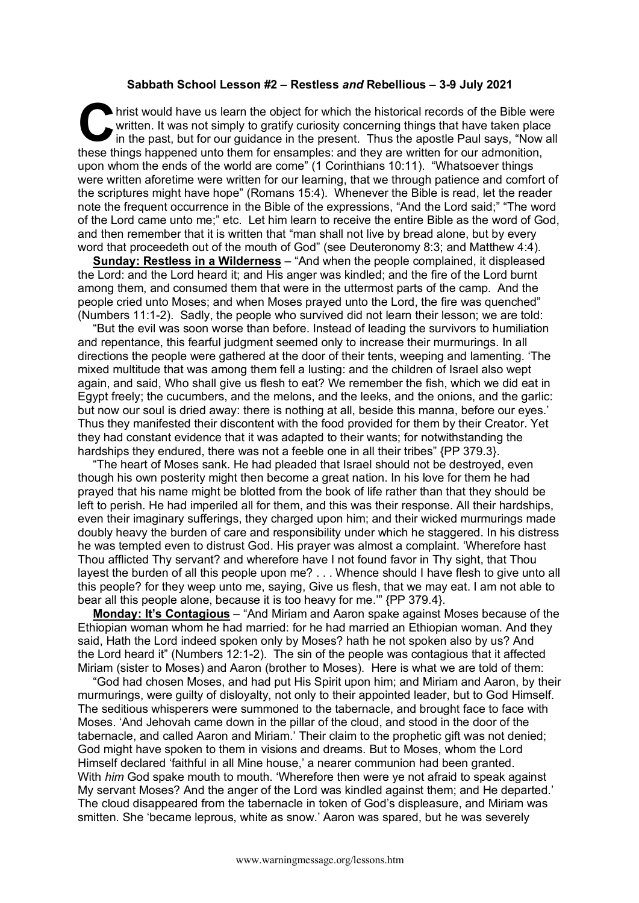## **Sabbath School Lesson #2 – Restless** *and* **Rebellious – 3-9 July 2021**

hrist would have us learn the object for which the historical records of the Bible were written. It was not simply to gratify curiosity concerning things that have taken place in the past, but for our guidance in the present. Thus the apostle Paul says, "Now all these things happened unto them for ensamples: and they are written for our admonition, upon whom the ends of the world are come" (1 Corinthians 10:11). "Whatsoever things were written aforetime were written for our learning, that we through patience and comfort of the scriptures might have hope" (Romans 15:4). Whenever the Bible is read, let the reader note the frequent occurrence in the Bible of the expressions, "And the Lord said;" "The word of the Lord came unto me;" etc. Let him learn to receive the entire Bible as the word of God, and then remember that it is written that "man shall not live by bread alone, but by every word that proceedeth out of the mouth of God" (see Deuteronomy 8:3; and Matthew 4:4). **C** hris

**Sunday: Restless in a Wilderness** – "And when the people complained, it displeased the Lord: and the Lord heard it; and His anger was kindled; and the fire of the Lord burnt among them, and consumed them that were in the uttermost parts of the camp. And the people cried unto Moses; and when Moses prayed unto the Lord, the fire was quenched" (Numbers 11:1-2). Sadly, the people who survived did not learn their lesson; we are told:

"But the evil was soon worse than before. Instead of leading the survivors to humiliation and repentance, this fearful judgment seemed only to increase their murmurings. In all directions the people were gathered at the door of their tents, weeping and lamenting. 'The mixed multitude that was among them fell a lusting: and the children of Israel also wept again, and said, Who shall give us flesh to eat? We remember the fish, which we did eat in Egypt freely; the cucumbers, and the melons, and the leeks, and the onions, and the garlic: but now our soul is dried away: there is nothing at all, beside this manna, before our eyes.' Thus they manifested their discontent with the food provided for them by their Creator. Yet they had constant evidence that it was adapted to their wants; for notwithstanding the hardships they endured, there was not a feeble one in all their tribes" {PP 379.3}.

"The heart of Moses sank. He had pleaded that Israel should not be destroyed, even though his own posterity might then become a great nation. In his love for them he had prayed that his name might be blotted from the book of life rather than that they should be left to perish. He had imperiled all for them, and this was their response. All their hardships, even their imaginary sufferings, they charged upon him; and their wicked murmurings made doubly heavy the burden of care and responsibility under which he staggered. In his distress he was tempted even to distrust God. His prayer was almost a complaint. 'Wherefore hast Thou afflicted Thy servant? and wherefore have I not found favor in Thy sight, that Thou layest the burden of all this people upon me? . . . Whence should I have flesh to give unto all this people? for they weep unto me, saying, Give us flesh, that we may eat. I am not able to bear all this people alone, because it is too heavy for me.'" {PP 379.4}.

**Monday: It's Contagious** – "And Miriam and Aaron spake against Moses because of the Ethiopian woman whom he had married: for he had married an Ethiopian woman. And they said, Hath the Lord indeed spoken only by Moses? hath he not spoken also by us? And the Lord heard it" (Numbers 12:1-2). The sin of the people was contagious that it affected Miriam (sister to Moses) and Aaron (brother to Moses). Here is what we are told of them:

"God had chosen Moses, and had put His Spirit upon him; and Miriam and Aaron, by their murmurings, were guilty of disloyalty, not only to their appointed leader, but to God Himself. The seditious whisperers were summoned to the tabernacle, and brought face to face with Moses. 'And Jehovah came down in the pillar of the cloud, and stood in the door of the tabernacle, and called Aaron and Miriam.' Their claim to the prophetic gift was not denied; God might have spoken to them in visions and dreams. But to Moses, whom the Lord Himself declared 'faithful in all Mine house,' a nearer communion had been granted. With *him* God spake mouth to mouth. 'Wherefore then were ye not afraid to speak against My servant Moses? And the anger of the Lord was kindled against them; and He departed.' The cloud disappeared from the tabernacle in token of God's displeasure, and Miriam was smitten. She 'became leprous, white as snow.' Aaron was spared, but he was severely